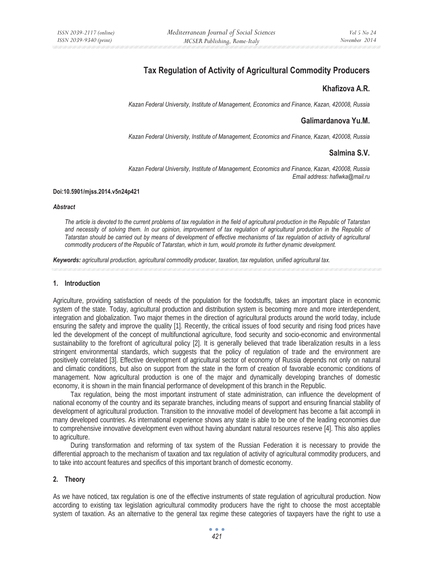# **Tax Regulation of Activity of Agricultural Commodity Producers**

# **Khafizova A.R.**

*Kazan Federal University, Institute of Management, Economics and Finance, Kazan, 420008, Russia* 

# **Galimardanova Yu.M.**

*Kazan Federal University, Institute of Management, Economics and Finance, Kazan, 420008, Russia* 

### **Salmina S.V.**

*Kazan Federal University, Institute of Management, Economics and Finance, Kazan, 420008, Russia Email address: hafiwka@mail.ru* 

#### **Doi:10.5901/mjss.2014.v5n24p421**

#### *Abstract*

*The article is devoted to the current problems of tax regulation in the field of agricultural production in the Republic of Tatarstan*  and necessity of solving them. In our opinion, improvement of tax regulation of agricultural production in the Republic of *Tatarstan should be carried out by means of development of effective mechanisms of tax regulation of activity of agricultural*  commodity producers of the Republic of Tatarstan, which in turn, would promote its further dynamic development.

*Keywords: agricultural production, agricultural commodity producer, taxation, tax regulation, unified agricultural tax.* 

#### **1. Introduction**

Agriculture, providing satisfaction of needs of the population for the foodstuffs, takes an important place in economic system of the state. Today, agricultural production and distribution system is becoming more and more interdependent, integration and globalization. Two major themes in the direction of agricultural products around the world today, include ensuring the safety and improve the quality [1]. Recently, the critical issues of food security and rising food prices have led the development of the concept of multifunctional agriculture, food security and socio-economic and environmental sustainability to the forefront of agricultural policy [2]. It is generally believed that trade liberalization results in a less stringent environmental standards, which suggests that the policy of regulation of trade and the environment are positively correlated [3]. Effective development of agricultural sector of economy of Russia depends not only on natural and climatic conditions, but also on support from the state in the form of creation of favorable economic conditions of management. Now agricultural production is one of the major and dynamically developing branches of domestic economy, it is shown in the main financial performance of development of this branch in the Republic.

Tax regulation, being the most important instrument of state administration, can influence the development of national economy of the country and its separate branches, including means of support and ensuring financial stability of development of agricultural production. Transition to the innovative model of development has become a fait accompli in many developed countries. As international experience shows any state is able to be one of the leading economies due to comprehensive innovative development even without having abundant natural resources reserve [4]. This also applies to agriculture.

During transformation and reforming of tax system of the Russian Federation it is necessary to provide the differential approach to the mechanism of taxation and tax regulation of activity of agricultural commodity producers, and to take into account features and specifics of this important branch of domestic economy.

### **2. Theory**

As we have noticed, tax regulation is one of the effective instruments of state regulation of agricultural production. Now according to existing tax legislation agricultural commodity producers have the right to choose the most acceptable system of taxation. As an alternative to the general tax regime these categories of taxpayers have the right to use a

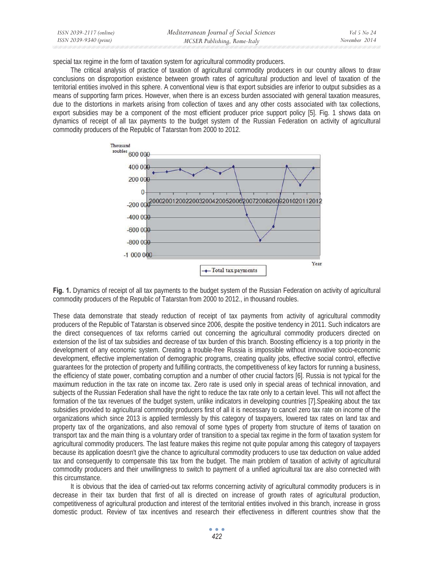| ISSN 2039-2117 (online) | Mediterranean Journal of Social Sciences | Vol 5 No 24   |
|-------------------------|------------------------------------------|---------------|
| ISSN 2039-9340 (print)  | MCSER Publishing, Rome-Italy             | November 2014 |

special tax regime in the form of taxation system for agricultural commodity producers.

The critical analysis of practice of taxation of agricultural commodity producers in our country allows to draw conclusions on disproportion existence between growth rates of agricultural production and level of taxation of the territorial entities involved in this sphere. A conventional view is that export subsidies are inferior to output subsidies as a means of supporting farm prices. However, when there is an excess burden associated with general taxation measures, due to the distortions in markets arising from collection of taxes and any other costs associated with tax collections, export subsidies may be a component of the most efficient producer price support policy [5]. Fig. 1 shows data on dynamics of receipt of all tax payments to the budget system of the Russian Federation on activity of agricultural commodity producers of the Republic of Tatarstan from 2000 to 2012.



**Fig. 1.** Dynamics of receipt of all tax payments to the budget system of the Russian Federation on activity of agricultural commodity producers of the Republic of Tatarstan from 2000 to 2012., in thousand roubles.

These data demonstrate that steady reduction of receipt of tax payments from activity of agricultural commodity producers of the Republic of Tatarstan is observed since 2006, despite the positive tendency in 2011. Such indicators are the direct consequences of tax reforms carried out concerning the agricultural commodity producers directed on extension of the list of tax subsidies and decrease of tax burden of this branch. Boosting efficiency is a top priority in the development of any economic system. Creating a trouble-free Russia is impossible without innovative socio-economic development, effective implementation of demographic programs, creating quality jobs, effective social control, effective guarantees for the protection of property and fulfilling contracts, the competitiveness of key factors for running a business, the efficiency of state power, combating corruption and a number of other crucial factors [6]. Russia is not typical for the maximum reduction in the tax rate on income tax. Zero rate is used only in special areas of technical innovation, and subjects of the Russian Federation shall have the right to reduce the tax rate only to a certain level. This will not affect the formation of the tax revenues of the budget system, unlike indicators in developing countries [7].Speaking about the tax subsidies provided to agricultural commodity producers first of all it is necessary to cancel zero tax rate on income of the organizations which since 2013 is applied termlessly by this category of taxpayers, lowered tax rates on land tax and property tax of the organizations, and also removal of some types of property from structure of items of taxation on transport tax and the main thing is a voluntary order of transition to a special tax regime in the form of taxation system for agricultural commodity producers. The last feature makes this regime not quite popular among this category of taxpayers because its application doesn't give the chance to agricultural commodity producers to use tax deduction on value added tax and consequently to compensate this tax from the budget. The main problem of taxation of activity of agricultural commodity producers and their unwillingness to switch to payment of a unified agricultural tax are also connected with this circumstance.

It is obvious that the idea of carried-out tax reforms concerning activity of agricultural commodity producers is in decrease in their tax burden that first of all is directed on increase of growth rates of agricultural production, competitiveness of agricultural production and interest of the territorial entities involved in this branch, increase in gross domestic product. Review of tax incentives and research their effectiveness in different countries show that the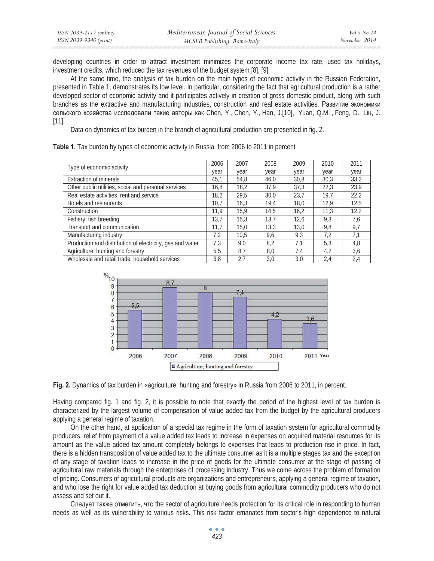| ISSN 2039-2117 (online) | Mediterranean Journal of Social Sciences | Vol 5 No 24   |
|-------------------------|------------------------------------------|---------------|
| ISSN 2039-9340 (print)  | MCSER Publishing, Rome-Italy             | November 2014 |

developing countries in order to attract investment minimizes the corporate income tax rate, used tax holidays, investment credits, which reduced the tax revenues of the budget system [8], [9].

At the same time, the analysis of tax burden on the main types of economic activity in the Russian Federation, presented in Table 1, demonstrates its low level. In particular, considering the fact that agricultural production is a rather developed sector of economic activity and it participates actively in creation of gross domestic product, along with such branches as the extractive and manufacturing industries, construction and real estate activities. Развитие экономики сельского хозяйства исследовали такие авторы как Chen, Y., Chen, Y., Han, J.[10], Yuan, Q.M., Feng, D., Liu, J. [11].

Data on dynamics of tax burden in the branch of agricultural production are presented in fig. 2.

**Table 1.** Tax burden by types of economic activity in Russia from 2006 to 2011 in percent

|                                                           |      | 2007 | 2008 | 2009 | 2010 | 2011 |
|-----------------------------------------------------------|------|------|------|------|------|------|
| Type of economic activity                                 | vear | vear | year | year | year | year |
| <b>Extraction of minerals</b>                             |      | 54.8 | 46.0 | 30,8 | 30.3 | 33,2 |
| Other public utilities, social and personal services      |      | 18.2 | 37.9 | 37.3 | 22.3 | 23,9 |
| Real estate activities, rent and service                  |      | 29.5 | 30.0 | 23.7 | 19.7 | 22,2 |
| Hotels and restaurants                                    |      | 16.3 | 19.4 | 18.0 | 12.9 | 12,5 |
| Construction                                              |      | 15.9 | 14.5 | 16,2 | 11.3 | 12,2 |
| Fishery, fish breeding                                    |      | 15.3 | 13.7 | 12,6 | 9.3  | 7,6  |
| Transport and communication                               |      | 15.0 | 13.3 | 13.0 | 9,8  | 9.7  |
| Manufacturing industry                                    |      | 10.5 | 9,6  | 9,3  | 7.2  | 7.1  |
| Production and distribution of electricity, gas and water |      | 9.0  | 8.2  | 7.1  | 5,3  | 4,8  |
| Agriculture, hunting and forestry                         |      | 8.7  | 8.0  | 7.4  | 4.2  | 3,6  |
| Wholesale and retail trade, household services            |      | 2,7  | 3,0  | 3,0  | 2,4  | 2,4  |



**Fig. 2.** Dynamics of tax burden in «agriculture, hunting and forestry» in Russia from 2006 to 2011, in percent.

Having compared fig. 1 and fig. 2, it is possible to note that exactly the period of the highest level of tax burden is characterized by the largest volume of compensation of value added tax from the budget by the agricultural producers applying a general regime of taxation.

On the other hand, at application of a special tax regime in the form of taxation system for agricultural commodity producers, relief from payment of a value added tax leads to increase in expenses on acquired material resources for its amount as the value added tax amount completely belongs to expenses that leads to production rise in price. In fact, there is a hidden transposition of value added tax to the ultimate consumer as it is a multiple stages tax and the exception of any stage of taxation leads to increase in the price of goods for the ultimate consumer at the stage of passing of agricultural raw materials through the enterprises of processing industry. Thus we come across the problem of formation of pricing. Consumers of agricultural products are organizations and entrepreneurs, applying a general regime of taxation, and who lose the right for value added tax deduction at buying goods from agricultural commodity producers who do not assess and set out it.

Следует также отметить, что the sector of agriculture needs protection for its critical role in responding to human needs as well as its vulnerability to various risks. This risk factor emanates from sector's high dependence to natural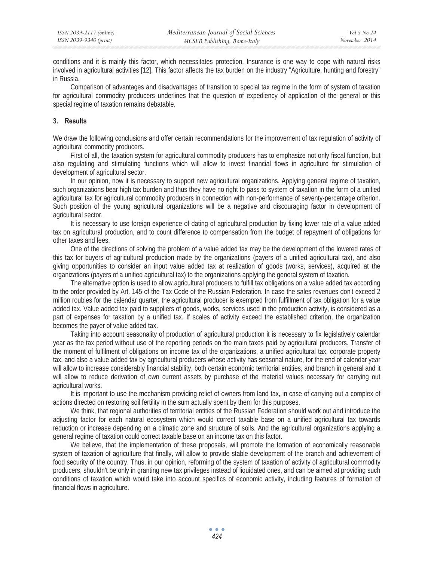conditions and it is mainly this factor, which necessitates protection. Insurance is one way to cope with natural risks involved in agricultural activities [12]. This factor affects the tax burden on the industry "Agriculture, hunting and forestry" in Russia.

Comparison of advantages and disadvantages of transition to special tax regime in the form of system of taxation for agricultural commodity producers underlines that the question of expediency of application of the general or this special regime of taxation remains debatable.

### **3. Results**

We draw the following conclusions and offer certain recommendations for the improvement of tax regulation of activity of agricultural commodity producers.

First of all, the taxation system for agricultural commodity producers has to emphasize not only fiscal function, but also regulating and stimulating functions which will allow to invest financial flows in agriculture for stimulation of development of agricultural sector.

In our opinion, now it is necessary to support new agricultural organizations. Applying general regime of taxation, such organizations bear high tax burden and thus they have no right to pass to system of taxation in the form of a unified agricultural tax for agricultural commodity producers in connection with non-performance of seventy-percentage criterion. Such position of the young agricultural organizations will be a negative and discouraging factor in development of agricultural sector.

It is necessary to use foreign experience of dating of agricultural production by fixing lower rate of a value added tax on agricultural production, and to count difference to compensation from the budget of repayment of obligations for other taxes and fees.

One of the directions of solving the problem of a value added tax may be the development of the lowered rates of this tax for buyers of agricultural production made by the organizations (payers of a unified agricultural tax), and also giving opportunities to consider an input value added tax at realization of goods (works, services), acquired at the organizations (payers of a unified agricultural tax) to the organizations applying the general system of taxation.

The alternative option is used to allow agricultural producers to fulfill tax obligations on a value added tax according to the order provided by Art. 145 of the Tax Code of the Russian Federation. In case the sales revenues don't exceed 2 million roubles for the calendar quarter, the agricultural producer is exempted from fulfillment of tax obligation for a value added tax. Value added tax paid to suppliers of goods, works, services used in the production activity, is considered as a part of expenses for taxation by a unified tax. If scales of activity exceed the established criterion, the organization becomes the payer of value added tax.

Taking into account seasonality of production of agricultural production it is necessary to fix legislatively calendar year as the tax period without use of the reporting periods on the main taxes paid by agricultural producers. Transfer of the moment of fulfilment of obligations on income tax of the organizations, a unified agricultural tax, corporate property tax, and also a value added tax by agricultural producers whose activity has seasonal nature, for the end of calendar year will allow to increase considerably financial stability, both certain economic territorial entities, and branch in general and it will allow to reduce derivation of own current assets by purchase of the material values necessary for carrying out agricultural works.

It is important to use the mechanism providing relief of owners from land tax, in case of carrying out a complex of actions directed on restoring soil fertility in the sum actually spent by them for this purposes.

We think, that regional authorities of territorial entities of the Russian Federation should work out and introduce the adjusting factor for each natural ecosystem which would correct taxable base on a unified agricultural tax towards reduction or increase depending on a climatic zone and structure of soils. And the agricultural organizations applying a general regime of taxation could correct taxable base on an income tax on this factor.

We believe, that the implementation of these proposals, will promote the formation of economically reasonable system of taxation of agriculture that finally, will allow to provide stable development of the branch and achievement of food security of the country. Thus, in our opinion, reforming of the system of taxation of activity of agricultural commodity producers, shouldn't be only in granting new tax privileges instead of liquidated ones, and can be aimed at providing such conditions of taxation which would take into account specifics of economic activity, including features of formation of financial flows in agriculture.